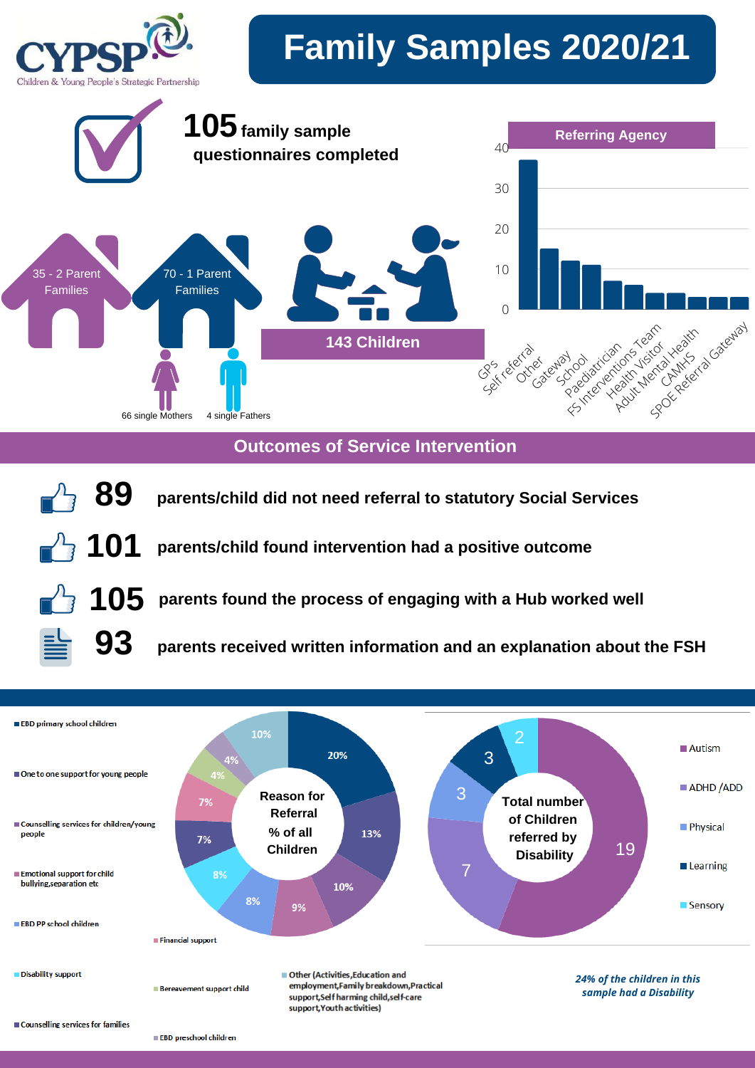

**Outcomes of Service Intervention**





EBD preschool children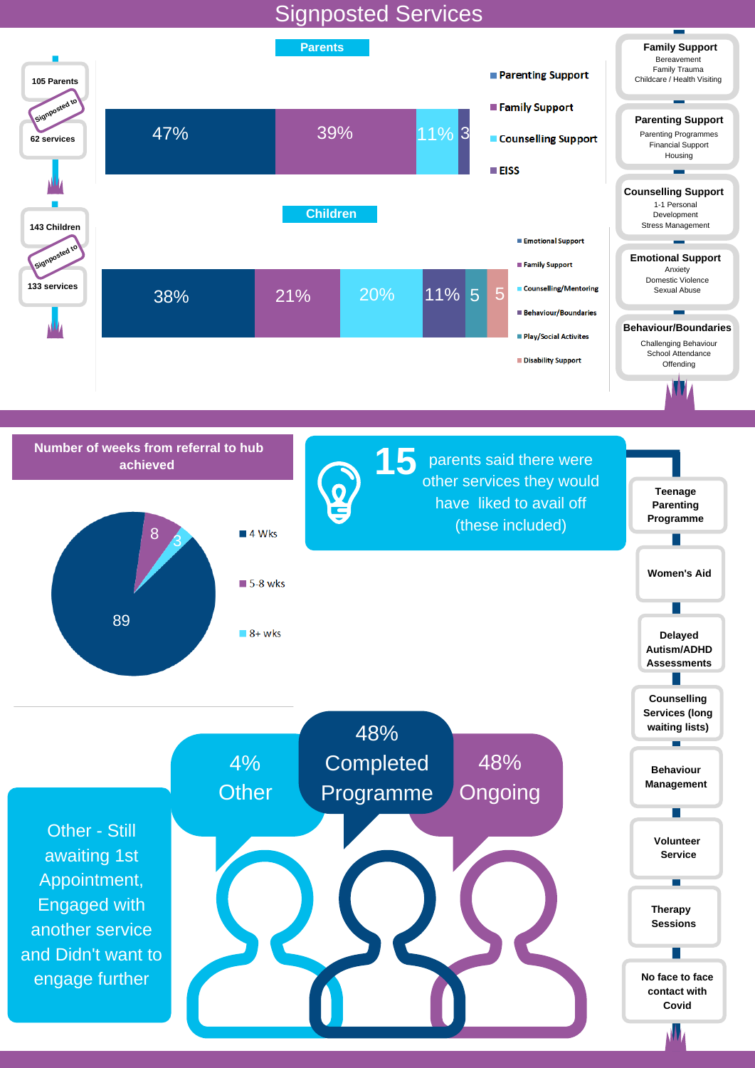## Signposted Services